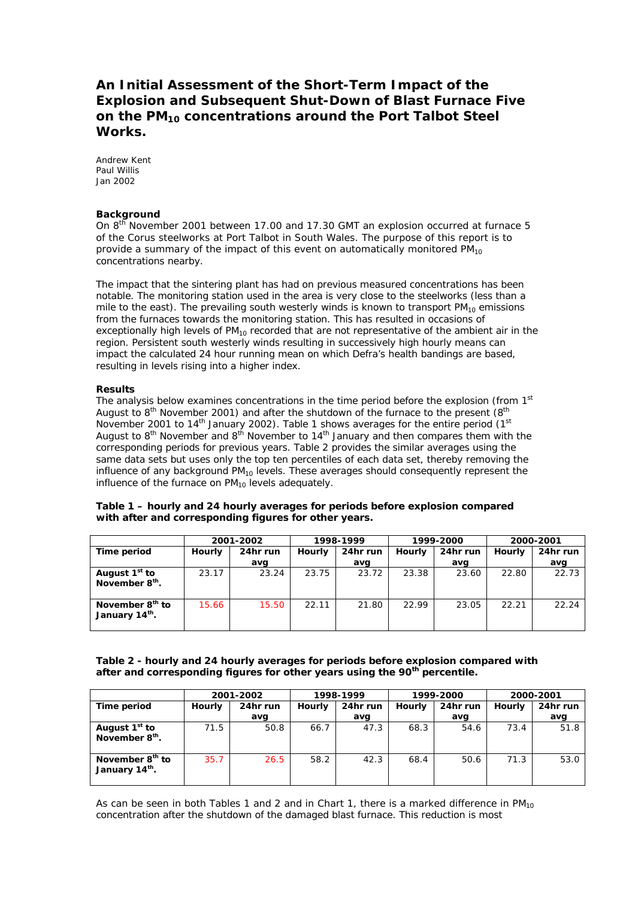## **An Initial Assessment of the Short-Term Impact of the Explosion and Subsequent Shut-Down of Blast Furnace Five on the PM10 concentrations around the Port Talbot Steel Works.**

Andrew Kent Paul Willis Jan 2002

## **Background**

On 8<sup>th</sup> November 2001 between 17.00 and 17.30 GMT an explosion occurred at furnace 5 of the Corus steelworks at Port Talbot in South Wales. The purpose of this report is to provide a summary of the impact of this event on automatically monitored  $PM_{10}$ concentrations nearby.

The impact that the sintering plant has had on previous measured concentrations has been notable. The monitoring station used in the area is very close to the steelworks (less than a mile to the east). The prevailing south westerly winds is known to transport  $PM_{10}$  emissions from the furnaces towards the monitoring station. This has resulted in occasions of exceptionally high levels of PM<sub>10</sub> recorded that are not representative of the ambient air in the region. Persistent south westerly winds resulting in successively high hourly means can impact the calculated 24 hour running mean on which Defra's health bandings are based, resulting in levels rising into a higher index.

## **Results**

The analysis below examines concentrations in the time period before the explosion (from  $1<sup>st</sup>$ August to  $8<sup>th</sup>$  November 2001) and after the shutdown of the furnace to the present  $(8<sup>th</sup>$ November 2001 to 14<sup>th</sup> January 2002). Table 1 shows averages for the entire period  $(1<sup>st</sup>$ August to  $8<sup>th</sup>$  November and  $8<sup>th</sup>$  November to  $14<sup>th</sup>$  January and then compares them with the corresponding periods for previous years. Table 2 provides the similar averages using the same data sets but uses only the top ten percentiles of each data set, thereby removing the influence of any background  $PM_{10}$  levels. These averages should consequently represent the influence of the furnace on  $PM_{10}$  levels adequately.

#### **Table 1 – hourly and 24 hourly averages for periods before explosion compared with after and corresponding figures for other years.**

|                                                           | 2001-2002 |          | 1998-1999 |          | 1999-2000 |          | 2000-2001 |          |
|-----------------------------------------------------------|-----------|----------|-----------|----------|-----------|----------|-----------|----------|
| Time period                                               | Hourly    | 24hr run | Hourly    | 24hr run | Hourly    | 24hr run | Hourly    | 24hr run |
|                                                           |           | avg      |           | avg      |           | avg      |           | avg      |
| August 1 <sup>st</sup> to<br>November 8 <sup>th</sup> .   | 23.17     | 23.24    | 23.75     | 23.72    | 23.38     | 23.60    | 22.80     | 22.73    |
| November 8 <sup>th</sup> to<br>January 14 <sup>th</sup> . | 15.66     | 15.50    | 22.11     | 21.80    | 22.99     | 23.05    | 22.21     | 22.24    |

## **Table 2 - hourly and 24 hourly averages for periods before explosion compared with after and corresponding figures for other years using the 90th percentile.**

|                                                           | 2001-2002 |          | 1998-1999 |          | 1999-2000 |          | 2000-2001 |          |
|-----------------------------------------------------------|-----------|----------|-----------|----------|-----------|----------|-----------|----------|
| Time period                                               | Hourly    | 24hr run | Hourly    | 24hr run | Hourly    | 24hr run | Hourly    | 24hr run |
|                                                           |           | avg      |           | avg      |           | avq      |           | avg      |
| August 1 <sup>st</sup> to<br>November 8 <sup>th</sup> .   | 71.5      | 50.8     | 66.7      | 47.3     | 68.3      | 54.6     | 73.4      | 51.8     |
| November 8 <sup>th</sup> to<br>January 14 <sup>th</sup> . | 35.7      | 26.5     | 58.2      | 42.3     | 68.4      | 50.6     | 71.3      | 53.0     |

As can be seen in both Tables 1 and 2 and in Chart 1, there is a marked difference in  $PM_{10}$ concentration after the shutdown of the damaged blast furnace. This reduction is most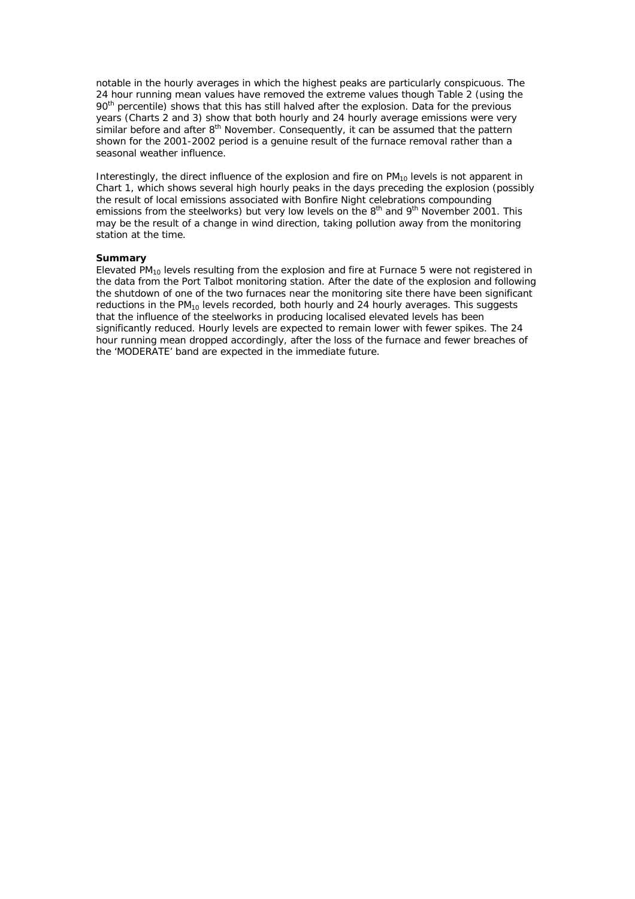notable in the hourly averages in which the highest peaks are particularly conspicuous. The 24 hour running mean values have removed the extreme values though Table 2 (using the 90<sup>th</sup> percentile) shows that this has still halved after the explosion. Data for the previous years (Charts 2 and 3) show that both hourly and 24 hourly average emissions were very  $\sin$ ilar before and after  $8<sup>th</sup>$  November. Consequently, it can be assumed that the pattern shown for the 2001-2002 period is a genuine result of the furnace removal rather than a seasonal weather influence.

Interestingly, the direct influence of the explosion and fire on  $PM_{10}$  levels is not apparent in Chart 1, which shows several high hourly peaks in the days preceding the explosion (possibly the result of local emissions associated with Bonfire Night celebrations compounding emissions from the steelworks) but very low levels on the  $8<sup>th</sup>$  and  $9<sup>th</sup>$  November 2001. This may be the result of a change in wind direction, taking pollution away from the monitoring station at the time.

### **Summary**

Elevated  $PM_{10}$  levels resulting from the explosion and fire at Furnace 5 were not registered in the data from the Port Talbot monitoring station. After the date of the explosion and following the shutdown of one of the two furnaces near the monitoring site there have been significant reductions in the PM<sub>10</sub> levels recorded, both hourly and 24 hourly averages. This suggests that the influence of the steelworks in producing localised elevated levels has been significantly reduced. Hourly levels are expected to remain lower with fewer spikes. The 24 hour running mean dropped accordingly, after the loss of the furnace and fewer breaches of the 'MODERATE' band are expected in the immediate future.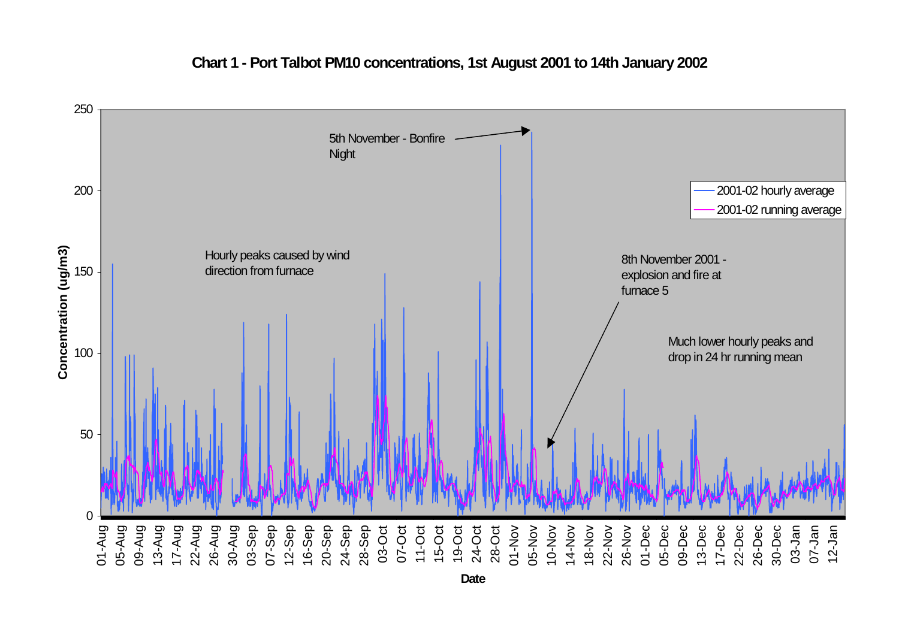

**Chart 1 - Port Talbot PM10 concentrations, 1st August 2001 to 14th January 2002**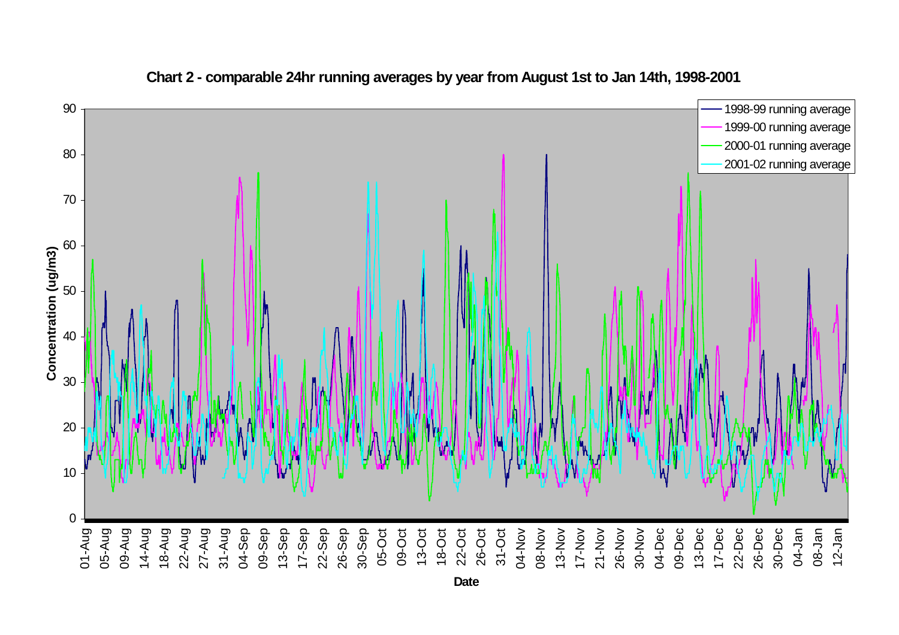

**Chart 2 - comparable 24hr running averages by year from August 1st to Jan 14th, 1998-2001**